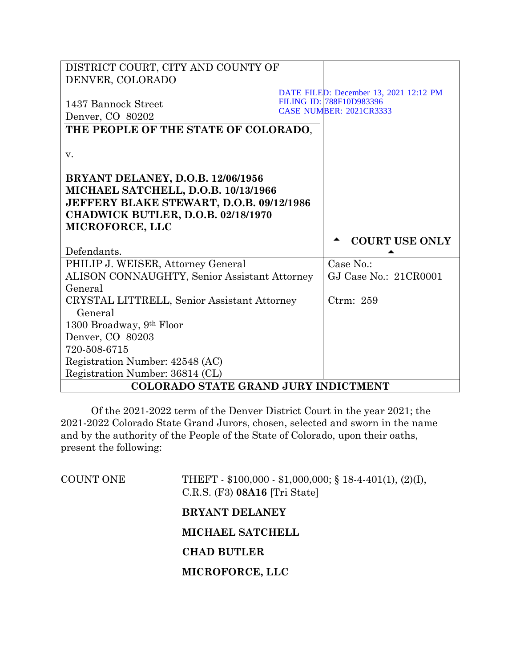| DISTRICT COURT, CITY AND COUNTY OF                  |                                        |
|-----------------------------------------------------|----------------------------------------|
| DENVER, COLORADO                                    |                                        |
|                                                     | DATE FILED: December 13, 2021 12:12 PM |
| 1437 Bannock Street                                 | FILING ID: 788F10D983396               |
| Denver, CO 80202                                    | <b>CASE NUMBER: 2021CR3333</b>         |
| THE PEOPLE OF THE STATE OF COLORADO,                |                                        |
|                                                     |                                        |
| v.                                                  |                                        |
|                                                     |                                        |
| <b>BRYANT DELANEY, D.O.B. 12/06/1956</b>            |                                        |
| MICHAEL SATCHELL, D.O.B. 10/13/1966                 |                                        |
| JEFFERY BLAKE STEWART, D.O.B. 09/12/1986            |                                        |
| CHADWICK BUTLER, D.O.B. 02/18/1970                  |                                        |
| MICROFORCE, LLC                                     |                                        |
|                                                     |                                        |
|                                                     |                                        |
| Defendants.                                         | <b>COURT USE ONLY</b>                  |
| PHILIP J. WEISER, Attorney General                  | Case No.:                              |
| <b>ALISON CONNAUGHTY, Senior Assistant Attorney</b> | GJ Case No.: 21CR0001                  |
| General                                             |                                        |
| CRYSTAL LITTRELL, Senior Assistant Attorney         | Ctrm: 259                              |
| General                                             |                                        |
| 1300 Broadway, 9th Floor                            |                                        |
| Denver, CO 80203                                    |                                        |
| 720-508-6715                                        |                                        |
| Registration Number: 42548 (AC)                     |                                        |
| Registration Number: 36814 (CL)                     |                                        |

Of the 2021-2022 term of the Denver District Court in the year 2021; the 2021-2022 Colorado State Grand Jurors, chosen, selected and sworn in the name and by the authority of the People of the State of Colorado, upon their oaths, present the following:

| <b>COUNT ONE</b> | THEFT - $$100,000 - $1,000,000;$ $$18-4-401(1), (2)(I),$<br>$C.R.S.$ (F3) 08A16 [Tri State] |
|------------------|---------------------------------------------------------------------------------------------|
|                  | <b>BRYANT DELANEY</b>                                                                       |
|                  | <b>MICHAEL SATCHELL</b>                                                                     |
|                  | <b>CHAD BUTLER</b>                                                                          |
|                  | MICROFORCE, LLC                                                                             |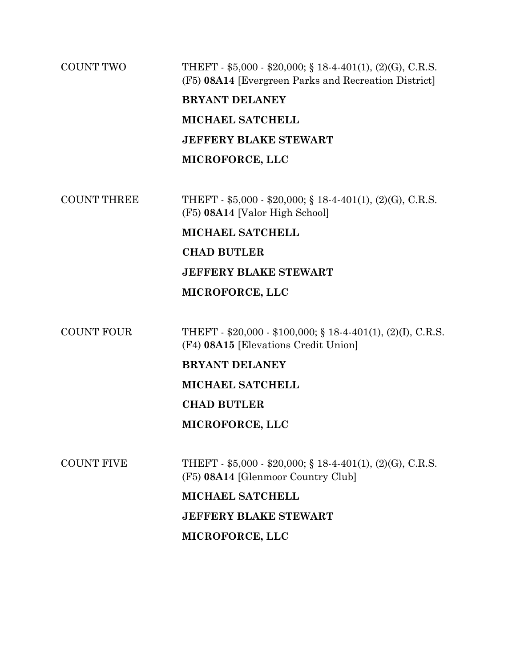# COUNT TWO THEFT - \$5,000 - \$20,000; § 18-4-401(1), (2)(G), C.R.S. (F5) **08A14** [Evergreen Parks and Recreation District] **BRYANT DELANEY**

**MICHAEL SATCHELL JEFFERY BLAKE STEWART MICROFORCE, LLC**

COUNT THREE THEFT - \$5,000 - \$20,000; § 18-4-401(1), (2)(G), C.R.S. (F5) **08A14** [Valor High School]

> **MICHAEL SATCHELL CHAD BUTLER JEFFERY BLAKE STEWART**

## **MICROFORCE, LLC**

COUNT FOUR THEFT - \$20,000 - \$100,000; § 18-4-401(1), (2)(I), C.R.S. (F4) **08A15** [Elevations Credit Union]

## **BRYANT DELANEY**

**MICHAEL SATCHELL**

## **CHAD BUTLER**

## **MICROFORCE, LLC**

COUNT FIVE THEFT -  $$5,000 - $20,000$ ; § 18-4-401(1), (2)(G), C.R.S. (F5) **08A14** [Glenmoor Country Club]

> **MICHAEL SATCHELL JEFFERY BLAKE STEWART MICROFORCE, LLC**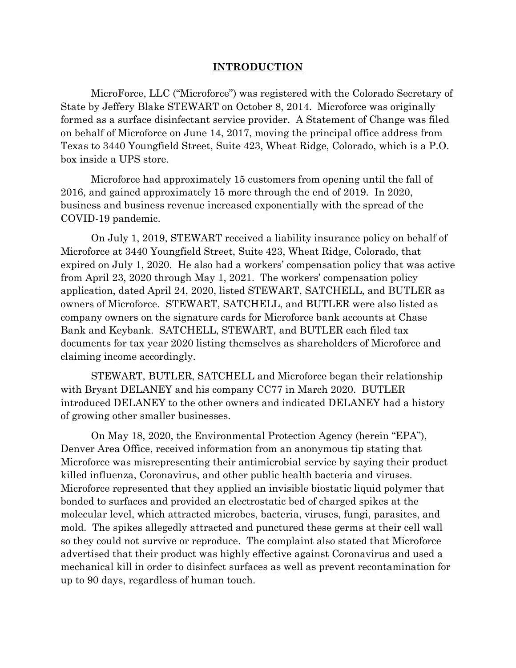## **INTRODUCTION**

MicroForce, LLC ("Microforce") was registered with the Colorado Secretary of State by Jeffery Blake STEWART on October 8, 2014. Microforce was originally formed as a surface disinfectant service provider. A Statement of Change was filed on behalf of Microforce on June 14, 2017, moving the principal office address from Texas to 3440 Youngfield Street, Suite 423, Wheat Ridge, Colorado, which is a P.O. box inside a UPS store.

Microforce had approximately 15 customers from opening until the fall of 2016, and gained approximately 15 more through the end of 2019. In 2020, business and business revenue increased exponentially with the spread of the COVID-19 pandemic.

On July 1, 2019, STEWART received a liability insurance policy on behalf of Microforce at 3440 Youngfield Street, Suite 423, Wheat Ridge, Colorado, that expired on July 1, 2020. He also had a workers' compensation policy that was active from April 23, 2020 through May 1, 2021. The workers' compensation policy application, dated April 24, 2020, listed STEWART, SATCHELL, and BUTLER as owners of Microforce. STEWART, SATCHELL, and BUTLER were also listed as company owners on the signature cards for Microforce bank accounts at Chase Bank and Keybank. SATCHELL, STEWART, and BUTLER each filed tax documents for tax year 2020 listing themselves as shareholders of Microforce and claiming income accordingly.

STEWART, BUTLER, SATCHELL and Microforce began their relationship with Bryant DELANEY and his company CC77 in March 2020. BUTLER introduced DELANEY to the other owners and indicated DELANEY had a history of growing other smaller businesses.

On May 18, 2020, the Environmental Protection Agency (herein "EPA"), Denver Area Office, received information from an anonymous tip stating that Microforce was misrepresenting their antimicrobial service by saying their product killed influenza, Coronavirus, and other public health bacteria and viruses. Microforce represented that they applied an invisible biostatic liquid polymer that bonded to surfaces and provided an electrostatic bed of charged spikes at the molecular level, which attracted microbes, bacteria, viruses, fungi, parasites, and mold. The spikes allegedly attracted and punctured these germs at their cell wall so they could not survive or reproduce. The complaint also stated that Microforce advertised that their product was highly effective against Coronavirus and used a mechanical kill in order to disinfect surfaces as well as prevent recontamination for up to 90 days, regardless of human touch.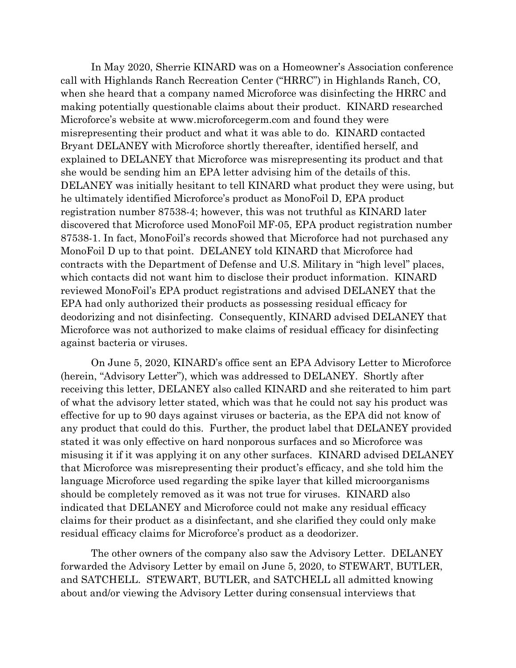In May 2020, Sherrie KINARD was on a Homeowner's Association conference call with Highlands Ranch Recreation Center ("HRRC") in Highlands Ranch, CO, when she heard that a company named Microforce was disinfecting the HRRC and making potentially questionable claims about their product. KINARD researched Microforce's website at www.microforcegerm.com and found they were misrepresenting their product and what it was able to do. KINARD contacted Bryant DELANEY with Microforce shortly thereafter, identified herself, and explained to DELANEY that Microforce was misrepresenting its product and that she would be sending him an EPA letter advising him of the details of this. DELANEY was initially hesitant to tell KINARD what product they were using, but he ultimately identified Microforce's product as MonoFoil D, EPA product registration number 87538-4; however, this was not truthful as KINARD later discovered that Microforce used MonoFoil MF-05, EPA product registration number 87538-1. In fact, MonoFoil's records showed that Microforce had not purchased any MonoFoil D up to that point. DELANEY told KINARD that Microforce had contracts with the Department of Defense and U.S. Military in "high level" places, which contacts did not want him to disclose their product information. KINARD reviewed MonoFoil's EPA product registrations and advised DELANEY that the EPA had only authorized their products as possessing residual efficacy for deodorizing and not disinfecting. Consequently, KINARD advised DELANEY that Microforce was not authorized to make claims of residual efficacy for disinfecting against bacteria or viruses.

On June 5, 2020, KINARD's office sent an EPA Advisory Letter to Microforce (herein, "Advisory Letter"), which was addressed to DELANEY. Shortly after receiving this letter, DELANEY also called KINARD and she reiterated to him part of what the advisory letter stated, which was that he could not say his product was effective for up to 90 days against viruses or bacteria, as the EPA did not know of any product that could do this. Further, the product label that DELANEY provided stated it was only effective on hard nonporous surfaces and so Microforce was misusing it if it was applying it on any other surfaces. KINARD advised DELANEY that Microforce was misrepresenting their product's efficacy, and she told him the language Microforce used regarding the spike layer that killed microorganisms should be completely removed as it was not true for viruses. KINARD also indicated that DELANEY and Microforce could not make any residual efficacy claims for their product as a disinfectant, and she clarified they could only make residual efficacy claims for Microforce's product as a deodorizer.

The other owners of the company also saw the Advisory Letter. DELANEY forwarded the Advisory Letter by email on June 5, 2020, to STEWART, BUTLER, and SATCHELL. STEWART, BUTLER, and SATCHELL all admitted knowing about and/or viewing the Advisory Letter during consensual interviews that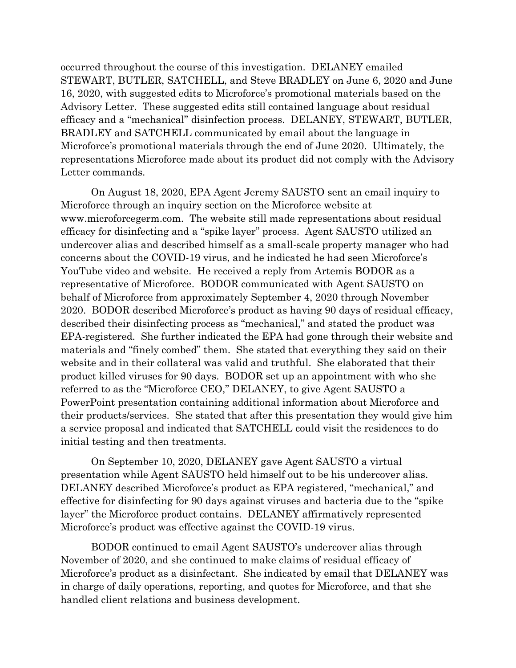occurred throughout the course of this investigation. DELANEY emailed STEWART, BUTLER, SATCHELL, and Steve BRADLEY on June 6, 2020 and June 16, 2020, with suggested edits to Microforce's promotional materials based on the Advisory Letter. These suggested edits still contained language about residual efficacy and a "mechanical" disinfection process. DELANEY, STEWART, BUTLER, BRADLEY and SATCHELL communicated by email about the language in Microforce's promotional materials through the end of June 2020. Ultimately, the representations Microforce made about its product did not comply with the Advisory Letter commands.

On August 18, 2020, EPA Agent Jeremy SAUSTO sent an email inquiry to Microforce through an inquiry section on the Microforce website at www.microforcegerm.com. The website still made representations about residual efficacy for disinfecting and a "spike layer" process. Agent SAUSTO utilized an undercover alias and described himself as a small-scale property manager who had concerns about the COVID-19 virus, and he indicated he had seen Microforce's YouTube video and website. He received a reply from Artemis BODOR as a representative of Microforce. BODOR communicated with Agent SAUSTO on behalf of Microforce from approximately September 4, 2020 through November 2020. BODOR described Microforce's product as having 90 days of residual efficacy, described their disinfecting process as "mechanical," and stated the product was EPA-registered. She further indicated the EPA had gone through their website and materials and "finely combed" them. She stated that everything they said on their website and in their collateral was valid and truthful. She elaborated that their product killed viruses for 90 days. BODOR set up an appointment with who she referred to as the "Microforce CEO," DELANEY, to give Agent SAUSTO a PowerPoint presentation containing additional information about Microforce and their products/services. She stated that after this presentation they would give him a service proposal and indicated that SATCHELL could visit the residences to do initial testing and then treatments.

On September 10, 2020, DELANEY gave Agent SAUSTO a virtual presentation while Agent SAUSTO held himself out to be his undercover alias. DELANEY described Microforce's product as EPA registered, "mechanical," and effective for disinfecting for 90 days against viruses and bacteria due to the "spike layer" the Microforce product contains. DELANEY affirmatively represented Microforce's product was effective against the COVID-19 virus.

BODOR continued to email Agent SAUSTO's undercover alias through November of 2020, and she continued to make claims of residual efficacy of Microforce's product as a disinfectant. She indicated by email that DELANEY was in charge of daily operations, reporting, and quotes for Microforce, and that she handled client relations and business development.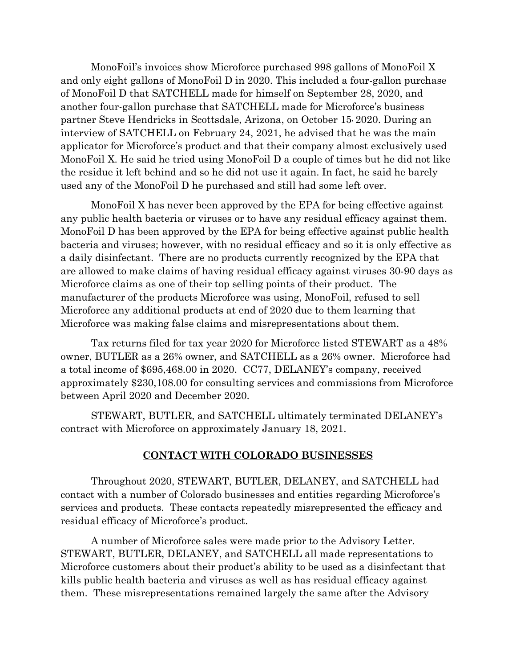MonoFoil's invoices show Microforce purchased 998 gallons of MonoFoil X and only eight gallons of MonoFoil D in 2020. This included a four-gallon purchase of MonoFoil D that SATCHELL made for himself on September 28, 2020, and another four-gallon purchase that SATCHELL made for Microforce's business partner Steve Hendricks in Scottsdale, Arizona, on October 15, 2020. During an interview of SATCHELL on February 24, 2021, he advised that he was the main applicator for Microforce's product and that their company almost exclusively used MonoFoil X. He said he tried using MonoFoil D a couple of times but he did not like the residue it left behind and so he did not use it again. In fact, he said he barely used any of the MonoFoil D he purchased and still had some left over.

MonoFoil X has never been approved by the EPA for being effective against any public health bacteria or viruses or to have any residual efficacy against them. MonoFoil D has been approved by the EPA for being effective against public health bacteria and viruses; however, with no residual efficacy and so it is only effective as a daily disinfectant. There are no products currently recognized by the EPA that are allowed to make claims of having residual efficacy against viruses 30-90 days as Microforce claims as one of their top selling points of their product. The manufacturer of the products Microforce was using, MonoFoil, refused to sell Microforce any additional products at end of 2020 due to them learning that Microforce was making false claims and misrepresentations about them.

Tax returns filed for tax year 2020 for Microforce listed STEWART as a 48% owner, BUTLER as a 26% owner, and SATCHELL as a 26% owner. Microforce had a total income of \$695,468.00 in 2020. CC77, DELANEY's company, received approximately \$230,108.00 for consulting services and commissions from Microforce between April 2020 and December 2020.

STEWART, BUTLER, and SATCHELL ultimately terminated DELANEY's contract with Microforce on approximately January 18, 2021.

# **CONTACT WITH COLORADO BUSINESSES**

Throughout 2020, STEWART, BUTLER, DELANEY, and SATCHELL had contact with a number of Colorado businesses and entities regarding Microforce's services and products. These contacts repeatedly misrepresented the efficacy and residual efficacy of Microforce's product.

A number of Microforce sales were made prior to the Advisory Letter. STEWART, BUTLER, DELANEY, and SATCHELL all made representations to Microforce customers about their product's ability to be used as a disinfectant that kills public health bacteria and viruses as well as has residual efficacy against them. These misrepresentations remained largely the same after the Advisory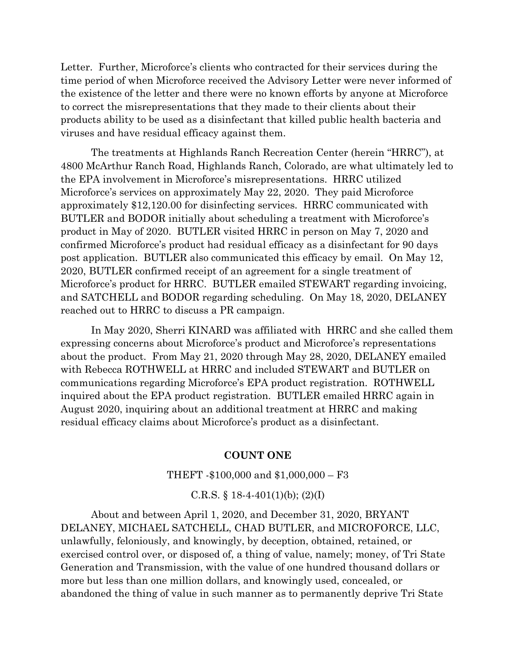Letter. Further, Microforce's clients who contracted for their services during the time period of when Microforce received the Advisory Letter were never informed of the existence of the letter and there were no known efforts by anyone at Microforce to correct the misrepresentations that they made to their clients about their products ability to be used as a disinfectant that killed public health bacteria and viruses and have residual efficacy against them.

The treatments at Highlands Ranch Recreation Center (herein "HRRC"), at 4800 McArthur Ranch Road, Highlands Ranch, Colorado, are what ultimately led to the EPA involvement in Microforce's misrepresentations. HRRC utilized Microforce's services on approximately May 22, 2020. They paid Microforce approximately \$12,120.00 for disinfecting services. HRRC communicated with BUTLER and BODOR initially about scheduling a treatment with Microforce's product in May of 2020. BUTLER visited HRRC in person on May 7, 2020 and confirmed Microforce's product had residual efficacy as a disinfectant for 90 days post application. BUTLER also communicated this efficacy by email. On May 12, 2020, BUTLER confirmed receipt of an agreement for a single treatment of Microforce's product for HRRC. BUTLER emailed STEWART regarding invoicing, and SATCHELL and BODOR regarding scheduling. On May 18, 2020, DELANEY reached out to HRRC to discuss a PR campaign.

In May 2020, Sherri KINARD was affiliated with HRRC and she called them expressing concerns about Microforce's product and Microforce's representations about the product. From May 21, 2020 through May 28, 2020, DELANEY emailed with Rebecca ROTHWELL at HRRC and included STEWART and BUTLER on communications regarding Microforce's EPA product registration. ROTHWELL inquired about the EPA product registration. BUTLER emailed HRRC again in August 2020, inquiring about an additional treatment at HRRC and making residual efficacy claims about Microforce's product as a disinfectant.

## **COUNT ONE**

#### THEFT -\$100,000 and \$1,000,000 – F3

#### C.R.S.  $\S$  18-4-401(1)(b); (2)(I)

About and between April 1, 2020, and December 31, 2020, BRYANT DELANEY, MICHAEL SATCHELL, CHAD BUTLER, and MICROFORCE, LLC, unlawfully, feloniously, and knowingly, by deception, obtained, retained, or exercised control over, or disposed of, a thing of value, namely; money, of Tri State Generation and Transmission, with the value of one hundred thousand dollars or more but less than one million dollars, and knowingly used, concealed, or abandoned the thing of value in such manner as to permanently deprive Tri State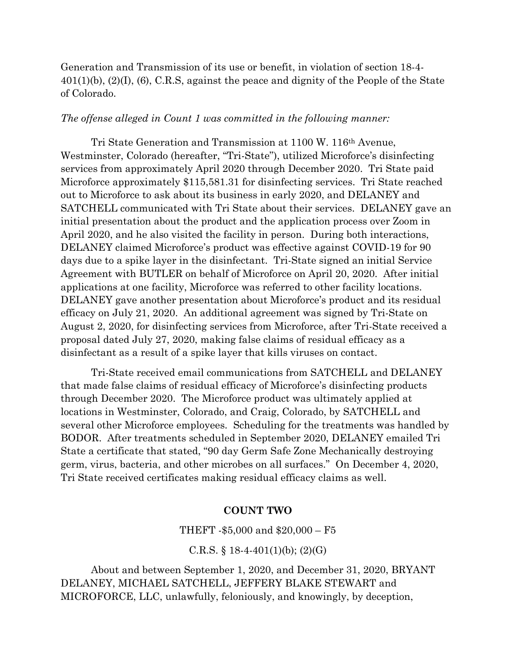Generation and Transmission of its use or benefit, in violation of section 18-4-  $401(1)(b)$ ,  $(2)(I)$ ,  $(6)$ , C.R.S, against the peace and dignity of the People of the State of Colorado.

#### *The offense alleged in Count 1 was committed in the following manner:*

Tri State Generation and Transmission at 1100 W. 116th Avenue, Westminster, Colorado (hereafter, "Tri-State"), utilized Microforce's disinfecting services from approximately April 2020 through December 2020. Tri State paid Microforce approximately \$115,581.31 for disinfecting services. Tri State reached out to Microforce to ask about its business in early 2020, and DELANEY and SATCHELL communicated with Tri State about their services. DELANEY gave an initial presentation about the product and the application process over Zoom in April 2020, and he also visited the facility in person. During both interactions, DELANEY claimed Microforce's product was effective against COVID-19 for 90 days due to a spike layer in the disinfectant. Tri-State signed an initial Service Agreement with BUTLER on behalf of Microforce on April 20, 2020. After initial applications at one facility, Microforce was referred to other facility locations. DELANEY gave another presentation about Microforce's product and its residual efficacy on July 21, 2020. An additional agreement was signed by Tri-State on August 2, 2020, for disinfecting services from Microforce, after Tri-State received a proposal dated July 27, 2020, making false claims of residual efficacy as a disinfectant as a result of a spike layer that kills viruses on contact.

Tri-State received email communications from SATCHELL and DELANEY that made false claims of residual efficacy of Microforce's disinfecting products through December 2020. The Microforce product was ultimately applied at locations in Westminster, Colorado, and Craig, Colorado, by SATCHELL and several other Microforce employees. Scheduling for the treatments was handled by BODOR. After treatments scheduled in September 2020, DELANEY emailed Tri State a certificate that stated, "90 day Germ Safe Zone Mechanically destroying germ, virus, bacteria, and other microbes on all surfaces." On December 4, 2020, Tri State received certificates making residual efficacy claims as well.

## **COUNT TWO**

THEFT -\$5,000 and \$20,000 – F5

C.R.S.  $\S$  18-4-401(1)(b); (2)(G)

About and between September 1, 2020, and December 31, 2020, BRYANT DELANEY, MICHAEL SATCHELL, JEFFERY BLAKE STEWART and MICROFORCE, LLC, unlawfully, feloniously, and knowingly, by deception,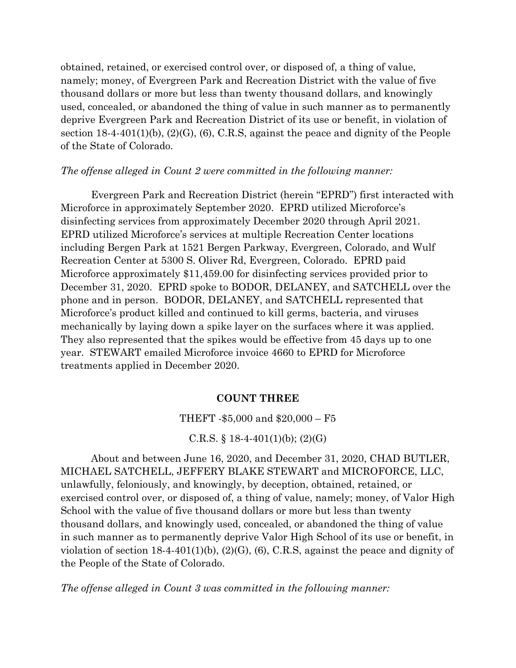obtained, retained, or exercised control over, or disposed of, a thing of value, namely; money, of Evergreen Park and Recreation District with the value of five thousand dollars or more but less than twenty thousand dollars, and knowingly used, concealed, or abandoned the thing of value in such manner as to permanently deprive Evergreen Park and Recreation District of its use or benefit, in violation of section 18-4-401(1)(b), (2)(G), (6), C.R.S, against the peace and dignity of the People of the State of Colorado.

## *The offense alleged in Count 2 were committed in the following manner:*

Evergreen Park and Recreation District (herein "EPRD") first interacted with Microforce in approximately September 2020. EPRD utilized Microforce's disinfecting services from approximately December 2020 through April 2021. EPRD utilized Microforce's services at multiple Recreation Center locations including Bergen Park at 1521 Bergen Parkway, Evergreen, Colorado, and Wulf Recreation Center at 5300 S. Oliver Rd, Evergreen, Colorado. EPRD paid Microforce approximately \$11,459.00 for disinfecting services provided prior to December 31, 2020. EPRD spoke to BODOR, DELANEY, and SATCHELL over the phone and in person. BODOR, DELANEY, and SATCHELL represented that Microforce's product killed and continued to kill germs, bacteria, and viruses mechanically by laying down a spike layer on the surfaces where it was applied. They also represented that the spikes would be effective from 45 days up to one year. STEWART emailed Microforce invoice 4660 to EPRD for Microforce treatments applied in December 2020.

# **COUNT THREE**

#### THEFT -\$5,000 and \$20,000 – F5

#### C.R.S.  $\S$  18-4-401(1)(b); (2)(G)

About and between June 16, 2020, and December 31, 2020, CHAD BUTLER, MICHAEL SATCHELL, JEFFERY BLAKE STEWART and MICROFORCE, LLC, unlawfully, feloniously, and knowingly, by deception, obtained, retained, or exercised control over, or disposed of, a thing of value, namely; money, of Valor High School with the value of five thousand dollars or more but less than twenty thousand dollars, and knowingly used, concealed, or abandoned the thing of value in such manner as to permanently deprive Valor High School of its use or benefit, in violation of section  $18-4-401(1)(b)$ ,  $(2)(G)$ ,  $(6)$ , C.R.S, against the peace and dignity of the People of the State of Colorado.

*The offense alleged in Count 3 was committed in the following manner:*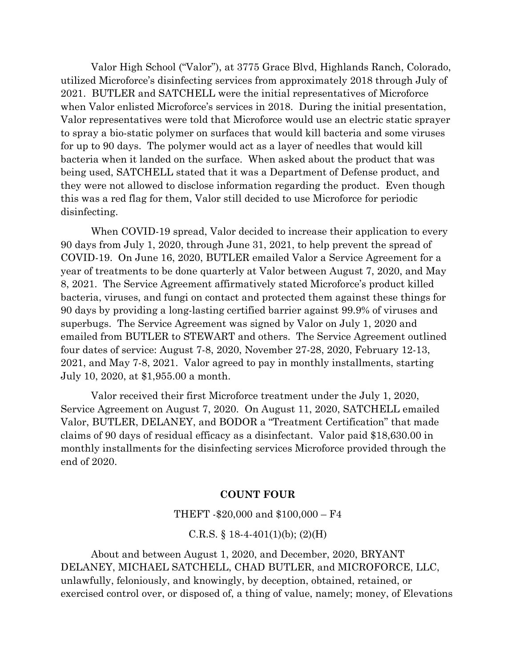Valor High School ("Valor"), at 3775 Grace Blvd, Highlands Ranch, Colorado, utilized Microforce's disinfecting services from approximately 2018 through July of 2021. BUTLER and SATCHELL were the initial representatives of Microforce when Valor enlisted Microforce's services in 2018. During the initial presentation, Valor representatives were told that Microforce would use an electric static sprayer to spray a bio-static polymer on surfaces that would kill bacteria and some viruses for up to 90 days. The polymer would act as a layer of needles that would kill bacteria when it landed on the surface. When asked about the product that was being used, SATCHELL stated that it was a Department of Defense product, and they were not allowed to disclose information regarding the product. Even though this was a red flag for them, Valor still decided to use Microforce for periodic disinfecting.

When COVID-19 spread, Valor decided to increase their application to every 90 days from July 1, 2020, through June 31, 2021, to help prevent the spread of COVID-19. On June 16, 2020, BUTLER emailed Valor a Service Agreement for a year of treatments to be done quarterly at Valor between August 7, 2020, and May 8, 2021. The Service Agreement affirmatively stated Microforce's product killed bacteria, viruses, and fungi on contact and protected them against these things for 90 days by providing a long-lasting certified barrier against 99.9% of viruses and superbugs. The Service Agreement was signed by Valor on July 1, 2020 and emailed from BUTLER to STEWART and others. The Service Agreement outlined four dates of service: August 7-8, 2020, November 27-28, 2020, February 12-13, 2021, and May 7-8, 2021. Valor agreed to pay in monthly installments, starting July 10, 2020, at \$1,955.00 a month.

Valor received their first Microforce treatment under the July 1, 2020, Service Agreement on August 7, 2020. On August 11, 2020, SATCHELL emailed Valor, BUTLER, DELANEY, and BODOR a "Treatment Certification" that made claims of 90 days of residual efficacy as a disinfectant. Valor paid \$18,630.00 in monthly installments for the disinfecting services Microforce provided through the end of 2020.

### **COUNT FOUR**

#### THEFT -\$20,000 and \$100,000 – F4

#### C.R.S.  $\S$  18-4-401(1)(b); (2)(H)

About and between August 1, 2020, and December, 2020, BRYANT DELANEY, MICHAEL SATCHELL, CHAD BUTLER, and MICROFORCE, LLC, unlawfully, feloniously, and knowingly, by deception, obtained, retained, or exercised control over, or disposed of, a thing of value, namely; money, of Elevations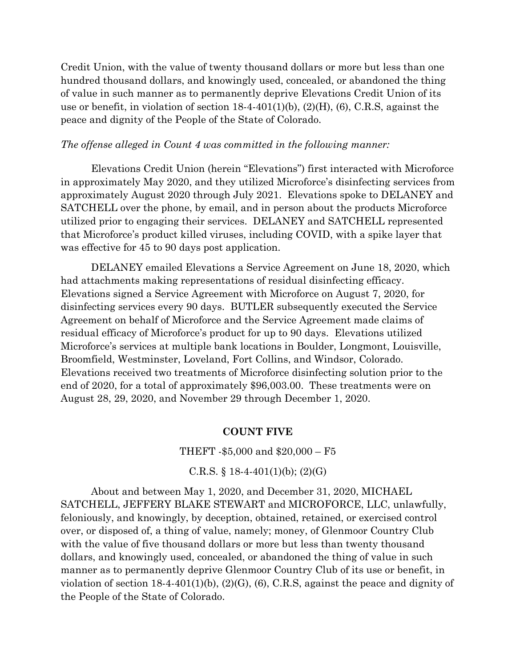Credit Union, with the value of twenty thousand dollars or more but less than one hundred thousand dollars, and knowingly used, concealed, or abandoned the thing of value in such manner as to permanently deprive Elevations Credit Union of its use or benefit, in violation of section 18-4-401(1)(b), (2)(H), (6), C.R.S, against the peace and dignity of the People of the State of Colorado.

#### *The offense alleged in Count 4 was committed in the following manner:*

Elevations Credit Union (herein "Elevations") first interacted with Microforce in approximately May 2020, and they utilized Microforce's disinfecting services from approximately August 2020 through July 2021. Elevations spoke to DELANEY and SATCHELL over the phone, by email, and in person about the products Microforce utilized prior to engaging their services. DELANEY and SATCHELL represented that Microforce's product killed viruses, including COVID, with a spike layer that was effective for 45 to 90 days post application.

DELANEY emailed Elevations a Service Agreement on June 18, 2020, which had attachments making representations of residual disinfecting efficacy. Elevations signed a Service Agreement with Microforce on August 7, 2020, for disinfecting services every 90 days. BUTLER subsequently executed the Service Agreement on behalf of Microforce and the Service Agreement made claims of residual efficacy of Microforce's product for up to 90 days. Elevations utilized Microforce's services at multiple bank locations in Boulder, Longmont, Louisville, Broomfield, Westminster, Loveland, Fort Collins, and Windsor, Colorado. Elevations received two treatments of Microforce disinfecting solution prior to the end of 2020, for a total of approximately \$96,003.00. These treatments were on August 28, 29, 2020, and November 29 through December 1, 2020.

## **COUNT FIVE**

#### THEFT -\$5,000 and \$20,000 – F5

#### C.R.S.  $\S$  18-4-401(1)(b); (2)(G)

About and between May 1, 2020, and December 31, 2020, MICHAEL SATCHELL, JEFFERY BLAKE STEWART and MICROFORCE, LLC, unlawfully, feloniously, and knowingly, by deception, obtained, retained, or exercised control over, or disposed of, a thing of value, namely; money, of Glenmoor Country Club with the value of five thousand dollars or more but less than twenty thousand dollars, and knowingly used, concealed, or abandoned the thing of value in such manner as to permanently deprive Glenmoor Country Club of its use or benefit, in violation of section  $18-4-401(1)(b)$ ,  $(2)(G)$ ,  $(6)$ , C.R.S., against the peace and dignity of the People of the State of Colorado.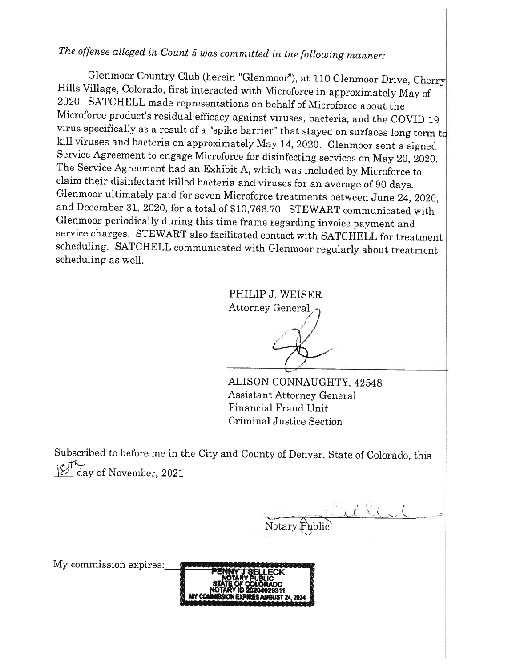The offense alleged in Count 5 was committed in the following manner:

Glenmoor Country Club (herein "Glenmoor"), at 110 Glenmoor Drive, Cherry Hills Village, Colorado, first interacted with Microforce in approximately May of 2020. SATCHELL made representations on behalf of Microforce about the Microforce product's residual efficacy against viruses, bacteria, and the COVID-19 virus specifically as a result of a "spike barrier" that stayed on surfaces long term  $t_0$ kill viruses and bacteria on approximately May 14, 2020. Glenmoor sent a signed Service Agreement to engage Microforce for disinfecting services on May 20, 2020. The Service Agreement had an Exhibit A, which was included by Microforce to claim their disinfectant killed bacteria and viruses for an average of 90 days. Glenmoor ultimately paid for seven Microforce treatments between June 24, 2020, and December 31, 2020, for a total of \$10,766.70. STEWART communicated with Glenmoor periodically during this time frame regarding invoice payment and service charges. STEWART also facilitated contact with SATCHELL for treatment scheduling. SATCHELL communicated with Glenmoor regularly about treatment scheduling as well.

> PHILIP J. WEISER Attorney General

ALISON CONNAUGHTY, 42548 **Assistant Attorney General** Financial Fraud Unit Criminal Justice Section

Subscribed to before me in the City and County of Denver, State of Colorado, this day of November, 2021.

Notary Public

My commission expires:

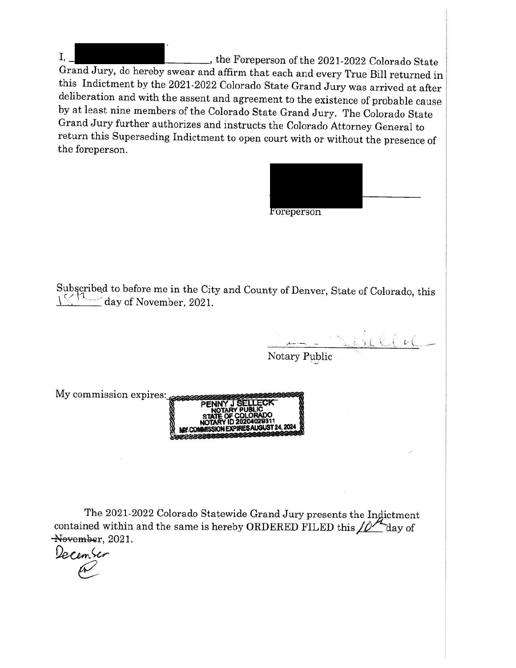$I_{1}$ \_, the Foreperson of the 2021-2022 Colorado State Grand Jury, do hereby swear and affirm that each and every True Bill returned in this Indictment by the 2021-2022 Colorado State Grand Jury was arrived at after deliberation and with the assent and agreement to the existence of probable cause by at least nine members of the Colorado State Grand Jury. The Colorado State Grand Jury further authorizes and instructs the Colorado Attorney General to return this Superseding Indictment to open court with or without the presence of the foreperson.

|                                                                                                                      | Foreperson           |
|----------------------------------------------------------------------------------------------------------------------|----------------------|
| Subscribed to before me in the City and County of Denver, State of Colorado, this<br>$\equiv$ day of November, 2021. |                      |
|                                                                                                                      | 161<br>Notary Public |
| My commission expires:<br>LIC                                                                                        | ECK                  |

The 2021-2022 Colorado Statewide Grand Jury presents the Indictment contained within and the same is hereby ORDERED FILED this  $\angle P$  day of November, 2021.

December